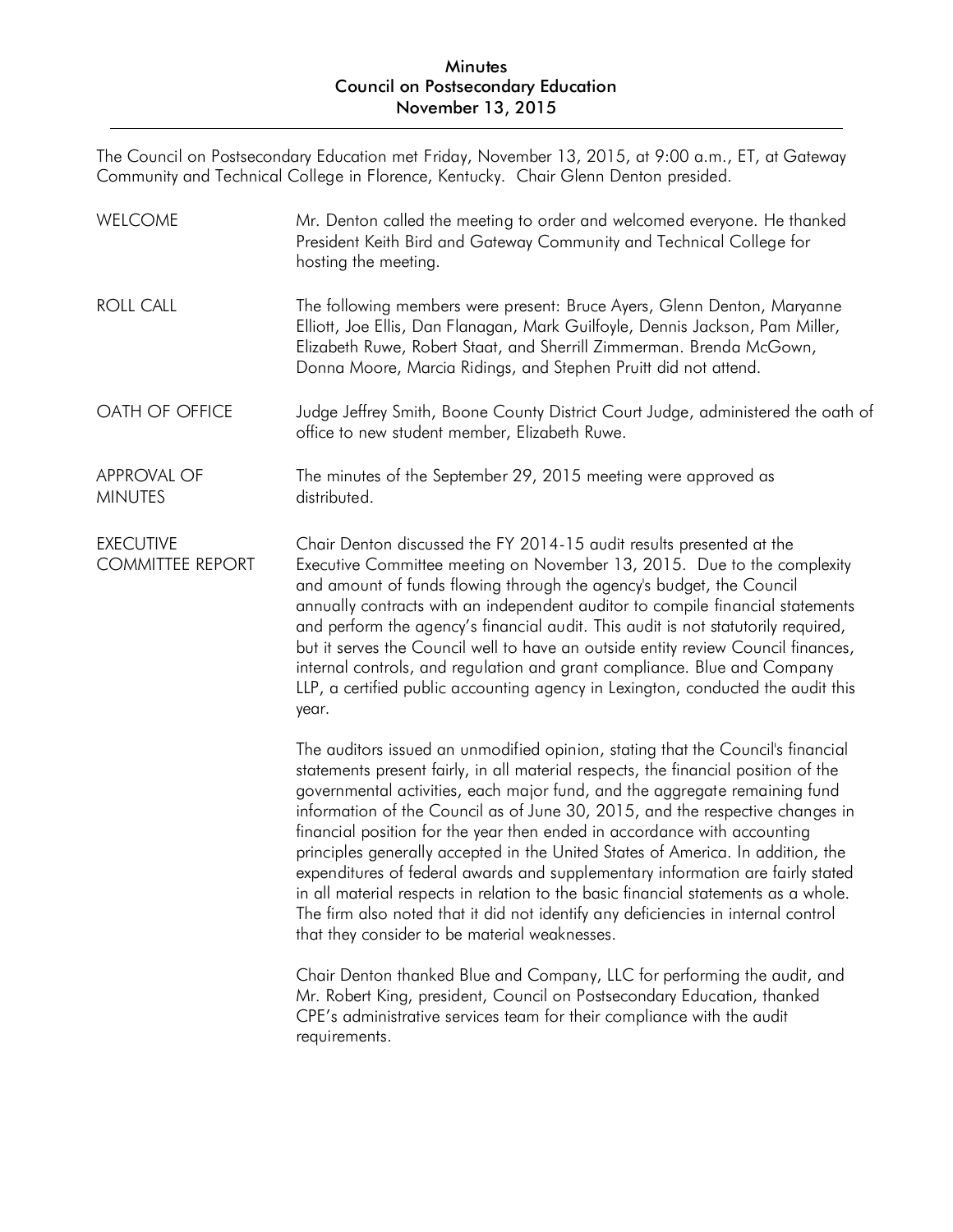The Council on Postsecondary Education met Friday, November 13, 2015, at 9:00 a.m., ET, at Gateway Community and Technical College in Florence, Kentucky. Chair Glenn Denton presided.

| <b>WELCOME</b>                              | Mr. Denton called the meeting to order and welcomed everyone. He thanked<br>President Keith Bird and Gateway Community and Technical College for<br>hosting the meeting.                                                                                                                                                                                                                                                                                                                                                                                                                                                                                                                                                                                                                                          |
|---------------------------------------------|-------------------------------------------------------------------------------------------------------------------------------------------------------------------------------------------------------------------------------------------------------------------------------------------------------------------------------------------------------------------------------------------------------------------------------------------------------------------------------------------------------------------------------------------------------------------------------------------------------------------------------------------------------------------------------------------------------------------------------------------------------------------------------------------------------------------|
| <b>ROLL CALL</b>                            | The following members were present: Bruce Ayers, Glenn Denton, Maryanne<br>Elliott, Joe Ellis, Dan Flanagan, Mark Guilfoyle, Dennis Jackson, Pam Miller,<br>Elizabeth Ruwe, Robert Staat, and Sherrill Zimmerman. Brenda McGown,<br>Donna Moore, Marcia Ridings, and Stephen Pruitt did not attend.                                                                                                                                                                                                                                                                                                                                                                                                                                                                                                               |
| OATH OF OFFICE                              | Judge Jeffrey Smith, Boone County District Court Judge, administered the oath of<br>office to new student member, Elizabeth Ruwe.                                                                                                                                                                                                                                                                                                                                                                                                                                                                                                                                                                                                                                                                                 |
| <b>APPROVAL OF</b><br><b>MINUTES</b>        | The minutes of the September 29, 2015 meeting were approved as<br>distributed.                                                                                                                                                                                                                                                                                                                                                                                                                                                                                                                                                                                                                                                                                                                                    |
| <b>EXECUTIVE</b><br><b>COMMITTEE REPORT</b> | Chair Denton discussed the FY 2014-15 audit results presented at the<br>Executive Committee meeting on November 13, 2015. Due to the complexity<br>and amount of funds flowing through the agency's budget, the Council<br>annually contracts with an independent auditor to compile financial statements<br>and perform the agency's financial audit. This audit is not statutorily required,<br>but it serves the Council well to have an outside entity review Council finances,<br>internal controls, and regulation and grant compliance. Blue and Company<br>LLP, a certified public accounting agency in Lexington, conducted the audit this<br>year.                                                                                                                                                      |
|                                             | The auditors issued an unmodified opinion, stating that the Council's financial<br>statements present fairly, in all material respects, the financial position of the<br>governmental activities, each major fund, and the aggregate remaining fund<br>information of the Council as of June 30, 2015, and the respective changes in<br>financial position for the year then ended in accordance with accounting<br>principles generally accepted in the United States of America. In addition, the<br>expenditures of federal awards and supplementary information are fairly stated<br>in all material respects in relation to the basic financial statements as a whole.<br>The firm also noted that it did not identify any deficiencies in internal control<br>that they consider to be material weaknesses. |
|                                             | Chair Denton thanked Blue and Company, LLC for performing the audit, and<br>Mr. Robert King, president, Council on Postsecondary Education, thanked<br>CPE's administrative services team for their compliance with the audit<br>requirements.                                                                                                                                                                                                                                                                                                                                                                                                                                                                                                                                                                    |
|                                             |                                                                                                                                                                                                                                                                                                                                                                                                                                                                                                                                                                                                                                                                                                                                                                                                                   |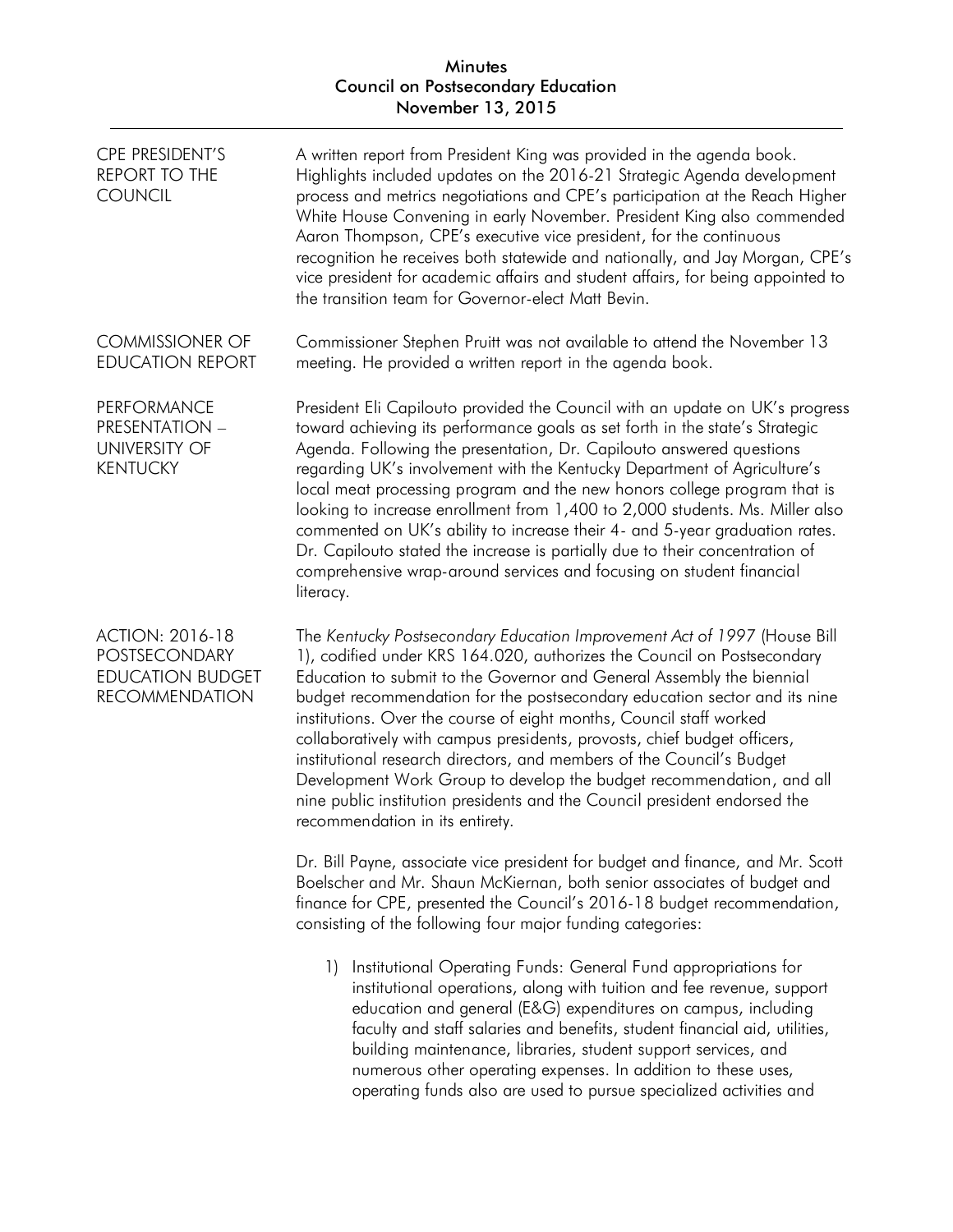| <b>CPE PRESIDENT'S</b><br><b>REPORT TO THE</b><br><b>COUNCIL</b>                            | A written report from President King was provided in the agenda book.<br>Highlights included updates on the 2016-21 Strategic Agenda development<br>process and metrics negotiations and CPE's participation at the Reach Higher<br>White House Convening in early November. President King also commended<br>Aaron Thompson, CPE's executive vice president, for the continuous<br>recognition he receives both statewide and nationally, and Jay Morgan, CPE's<br>vice president for academic affairs and student affairs, for being appointed to<br>the transition team for Governor-elect Matt Bevin.                                                                                                                        |
|---------------------------------------------------------------------------------------------|----------------------------------------------------------------------------------------------------------------------------------------------------------------------------------------------------------------------------------------------------------------------------------------------------------------------------------------------------------------------------------------------------------------------------------------------------------------------------------------------------------------------------------------------------------------------------------------------------------------------------------------------------------------------------------------------------------------------------------|
| <b>COMMISSIONER OF</b><br><b>EDUCATION REPORT</b>                                           | Commissioner Stephen Pruitt was not available to attend the November 13<br>meeting. He provided a written report in the agenda book.                                                                                                                                                                                                                                                                                                                                                                                                                                                                                                                                                                                             |
| <b>PERFORMANCE</b><br>PRESENTATION -<br><b>UNIVERSITY OF</b><br><b>KENTUCKY</b>             | President Eli Capilouto provided the Council with an update on UK's progress<br>toward achieving its performance goals as set forth in the state's Strategic<br>Agenda. Following the presentation, Dr. Capilouto answered questions<br>regarding UK's involvement with the Kentucky Department of Agriculture's<br>local meat processing program and the new honors college program that is<br>looking to increase enrollment from 1,400 to 2,000 students. Ms. Miller also<br>commented on UK's ability to increase their 4- and 5-year graduation rates.<br>Dr. Capilouto stated the increase is partially due to their concentration of<br>comprehensive wrap-around services and focusing on student financial<br>literacy. |
| <b>ACTION: 2016-18</b><br>POSTSECONDARY<br><b>EDUCATION BUDGET</b><br><b>RECOMMENDATION</b> | The Kentucky Postsecondary Education Improvement Act of 1997 (House Bill<br>1), codified under KRS 164.020, authorizes the Council on Postsecondary<br>Education to submit to the Governor and General Assembly the biennial<br>budget recommendation for the postsecondary education sector and its nine<br>institutions. Over the course of eight months, Council staff worked<br>collaboratively with campus presidents, provosts, chief budget officers,<br>institutional research directors, and members of the Council's Budget<br>Development Work Group to develop the budget recommendation, and all<br>nine public institution presidents and the Council president endorsed the<br>recommendation in its entirety.    |
|                                                                                             | Dr. Bill Payne, associate vice president for budget and finance, and Mr. Scott<br>Boelscher and Mr. Shaun McKiernan, both senior associates of budget and<br>finance for CPE, presented the Council's 2016-18 budget recommendation,<br>consisting of the following four major funding categories:                                                                                                                                                                                                                                                                                                                                                                                                                               |
|                                                                                             | Institutional Operating Funds: General Fund appropriations for<br>$\left  \right $<br>institutional operations, along with tuition and fee revenue, support<br>education and general (E&G) expenditures on campus, including<br>faculty and staff salaries and benefits, student financial aid, utilities,<br>building maintenance, libraries, student support services, and                                                                                                                                                                                                                                                                                                                                                     |

numerous other operating expenses. In addition to these uses, operating funds also are used to pursue specialized activities and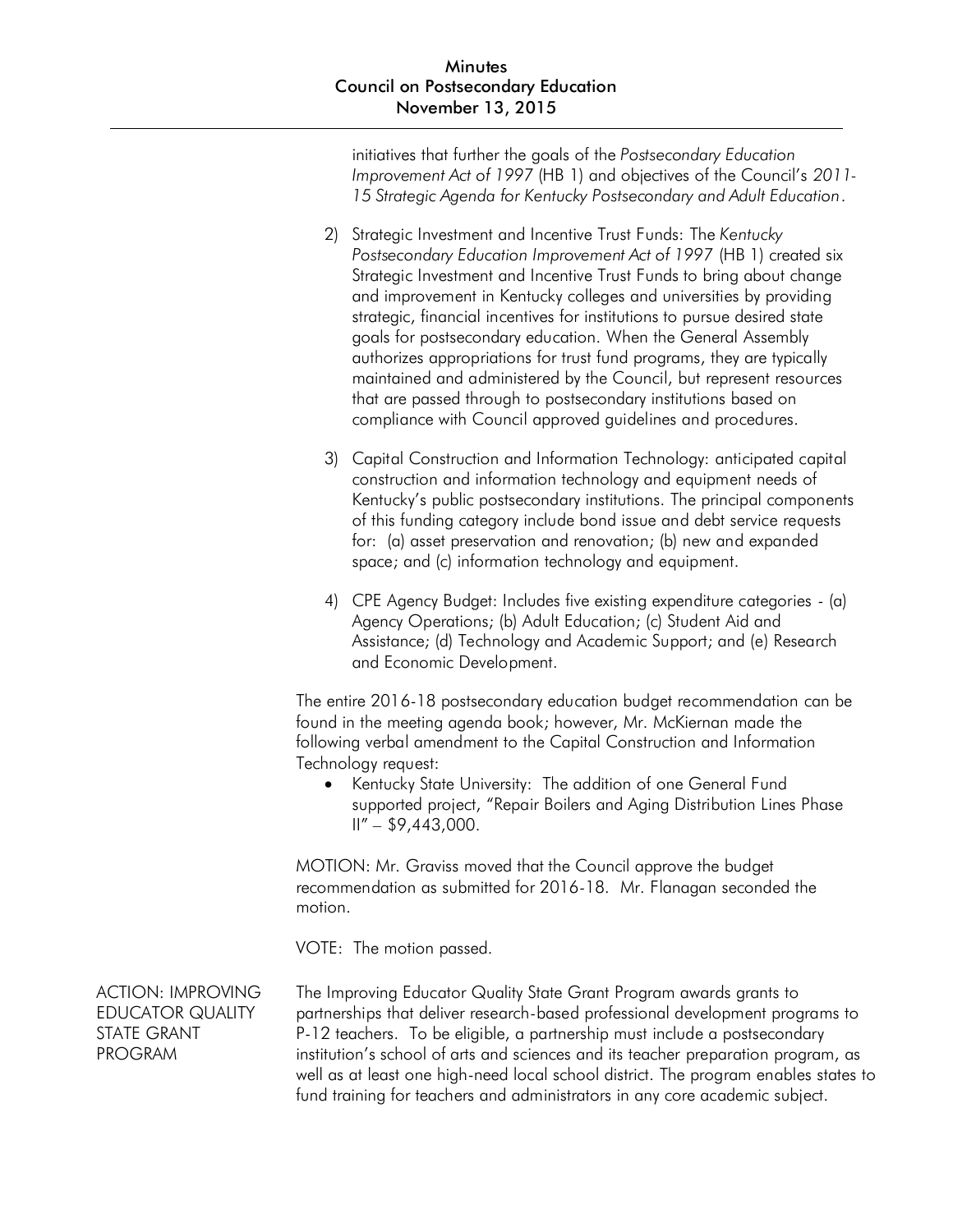initiatives that further the goals of the *Postsecondary Education Improvement Act of 1997* (HB 1) and objectives of the Council's *2011- 15 Strategic Agenda for Kentucky Postsecondary and Adult Education*.

- 2) Strategic Investment and Incentive Trust Funds: The *Kentucky Postsecondary Education Improvement Act of 1997* (HB 1) created six Strategic Investment and Incentive Trust Funds to bring about change and improvement in Kentucky colleges and universities by providing strategic, financial incentives for institutions to pursue desired state goals for postsecondary education. When the General Assembly authorizes appropriations for trust fund programs, they are typically maintained and administered by the Council, but represent resources that are passed through to postsecondary institutions based on compliance with Council approved guidelines and procedures.
- 3) Capital Construction and Information Technology: anticipated capital construction and information technology and equipment needs of Kentucky's public postsecondary institutions. The principal components of this funding category include bond issue and debt service requests for: (a) asset preservation and renovation; (b) new and expanded space; and (c) information technology and equipment.
- 4) CPE Agency Budget: Includes five existing expenditure categories (a) Agency Operations; (b) Adult Education; (c) Student Aid and Assistance; (d) Technology and Academic Support; and (e) Research and Economic Development.

The entire 2016-18 postsecondary education budget recommendation can be found in the meeting agenda book; however, Mr. McKiernan made the following verbal amendment to the Capital Construction and Information Technology request:

• Kentucky State University: The addition of one General Fund supported project, "Repair Boilers and Aging Distribution Lines Phase  $II'' - $9,443,000.$ 

MOTION: Mr. Graviss moved that the Council approve the budget recommendation as submitted for 2016-18. Mr. Flanagan seconded the motion.

VOTE: The motion passed.

ACTION: IMPROVING EDUCATOR QUALITY STATE GRANT PROGRAM

The Improving Educator Quality State Grant Program awards grants to partnerships that deliver research-based professional development programs to P-12 teachers. To be eligible, a partnership must include a postsecondary institution's school of arts and sciences and its teacher preparation program, as well as at least one high-need local school district. The program enables states to fund training for teachers and administrators in any core academic subject.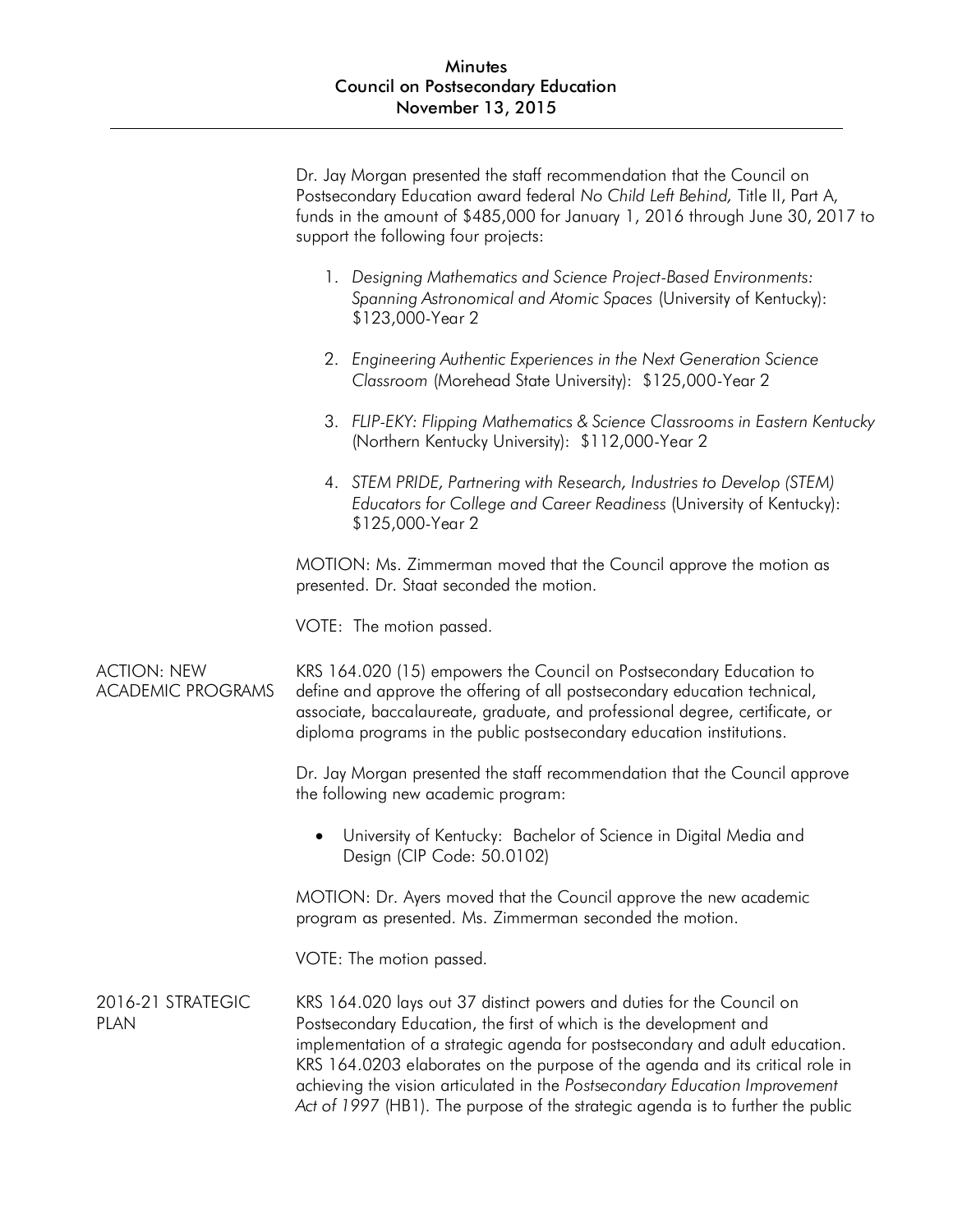|                                                | Dr. Jay Morgan presented the staff recommendation that the Council on<br>Postsecondary Education award federal No Child Left Behind, Title II, Part A,<br>funds in the amount of \$485,000 for January 1, 2016 through June 30, 2017 to<br>support the following four projects:                                                                                                                                                                                               |
|------------------------------------------------|-------------------------------------------------------------------------------------------------------------------------------------------------------------------------------------------------------------------------------------------------------------------------------------------------------------------------------------------------------------------------------------------------------------------------------------------------------------------------------|
|                                                | 1. Designing Mathematics and Science Project-Based Environments:<br>Spanning Astronomical and Atomic Spaces (University of Kentucky):<br>\$123,000-Year 2                                                                                                                                                                                                                                                                                                                     |
|                                                | 2. Engineering Authentic Experiences in the Next Generation Science<br>Classroom (Morehead State University): \$125,000-Year 2                                                                                                                                                                                                                                                                                                                                                |
|                                                | 3. FLIP-EKY: Flipping Mathematics & Science Classrooms in Eastern Kentucky<br>(Northern Kentucky University): \$112,000-Year 2                                                                                                                                                                                                                                                                                                                                                |
|                                                | 4. STEM PRIDE, Partnering with Research, Industries to Develop (STEM)<br>Educators for College and Career Readiness (University of Kentucky):<br>\$125,000-Year 2                                                                                                                                                                                                                                                                                                             |
|                                                | MOTION: Ms. Zimmerman moved that the Council approve the motion as<br>presented. Dr. Staat seconded the motion.                                                                                                                                                                                                                                                                                                                                                               |
|                                                | VOTE: The motion passed.                                                                                                                                                                                                                                                                                                                                                                                                                                                      |
| <b>ACTION: NEW</b><br><b>ACADEMIC PROGRAMS</b> | KRS 164.020 (15) empowers the Council on Postsecondary Education to<br>define and approve the offering of all postsecondary education technical,<br>associate, baccalaureate, graduate, and professional degree, certificate, or<br>diploma programs in the public postsecondary education institutions.                                                                                                                                                                      |
|                                                | Dr. Jay Morgan presented the staff recommendation that the Council approve<br>the following new academic program:                                                                                                                                                                                                                                                                                                                                                             |
|                                                | University of Kentucky: Bachelor of Science in Digital Media and<br>Design (CIP Code: 50.0102)                                                                                                                                                                                                                                                                                                                                                                                |
|                                                | MOTION: Dr. Ayers moved that the Council approve the new academic<br>program as presented. Ms. Zimmerman seconded the motion.                                                                                                                                                                                                                                                                                                                                                 |
|                                                | VOTE: The motion passed.                                                                                                                                                                                                                                                                                                                                                                                                                                                      |
| 2016-21 STRATEGIC<br><b>PLAN</b>               | KRS 164.020 lays out 37 distinct powers and duties for the Council on<br>Postsecondary Education, the first of which is the development and<br>implementation of a strategic agenda for postsecondary and adult education.<br>KRS 164.0203 elaborates on the purpose of the agenda and its critical role in<br>achieving the vision articulated in the Postsecondary Education Improvement<br>Act of 1997 (HB1). The purpose of the strategic agenda is to further the public |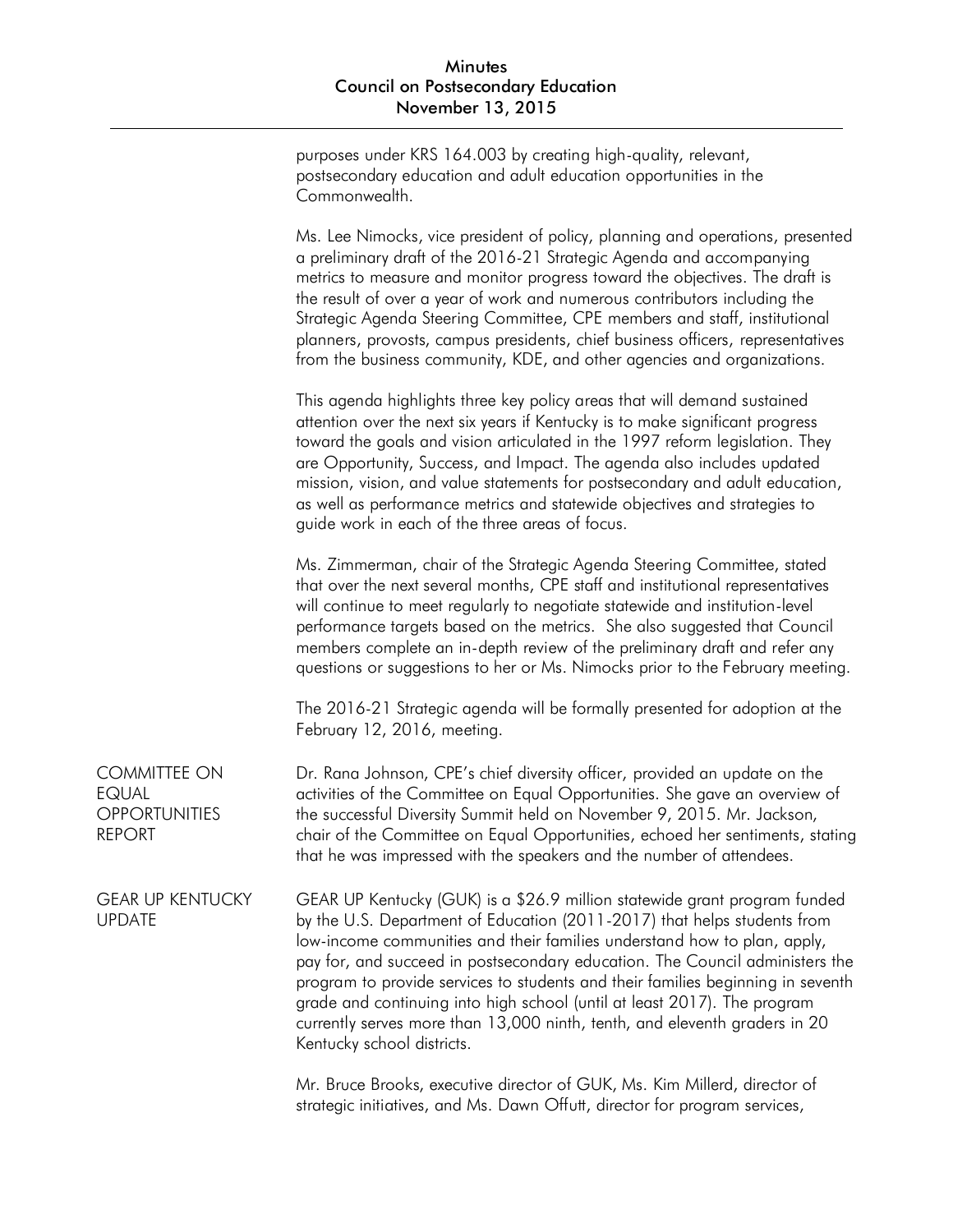purposes under KRS 164.003 by creating high-quality, relevant, postsecondary education and adult education opportunities in the Commonwealth.

Ms. Lee Nimocks, vice president of policy, planning and operations, presented a preliminary draft of the 2016-21 Strategic Agenda and accompanying metrics to measure and monitor progress toward the objectives. The draft is the result of over a year of work and numerous contributors including the Strategic Agenda Steering Committee, CPE members and staff, institutional planners, provosts, campus presidents, chief business officers, representatives from the business community, KDE, and other agencies and organizations.

This agenda highlights three key policy areas that will demand sustained attention over the next six years if Kentucky is to make significant progress toward the goals and vision articulated in the 1997 reform legislation. They are Opportunity, Success, and Impact. The agenda also includes updated mission, vision, and value statements for postsecondary and adult education, as well as performance metrics and statewide objectives and strategies to guide work in each of the three areas of focus.

Ms. Zimmerman, chair of the Strategic Agenda Steering Committee, stated that over the next several months, CPE staff and institutional representatives will continue to meet regularly to negotiate statewide and institution-level performance targets based on the metrics. She also suggested that Council members complete an in-depth review of the preliminary draft and refer any questions or suggestions to her or Ms. Nimocks prior to the February meeting.

The 2016-21 Strategic agenda will be formally presented for adoption at the February 12, 2016, meeting.

COMMITTEE ON EQUAL **OPPORTUNITIES** REPORT Dr. Rana Johnson, CPE's chief diversity officer, provided an update on the activities of the Committee on Equal Opportunities. She gave an overview of the successful Diversity Summit held on November 9, 2015. Mr. Jackson, chair of the Committee on Equal Opportunities, echoed her sentiments, stating that he was impressed with the speakers and the number of attendees.

GEAR UP KENTUCKY UPDATE GEAR UP Kentucky (GUK) is a \$26.9 million statewide grant program funded by the U.S. Department of Education (2011-2017) that helps students from low-income communities and their families understand how to plan, apply, pay for, and succeed in postsecondary education. The Council administers the program to provide services to students and their families beginning in seventh grade and continuing into high school (until at least 2017). The program currently serves more than 13,000 ninth, tenth, and eleventh graders in 20 Kentucky school districts.

> Mr. Bruce Brooks, executive director of GUK, Ms. Kim Millerd, director of strategic initiatives, and Ms. Dawn Offutt, director for program services,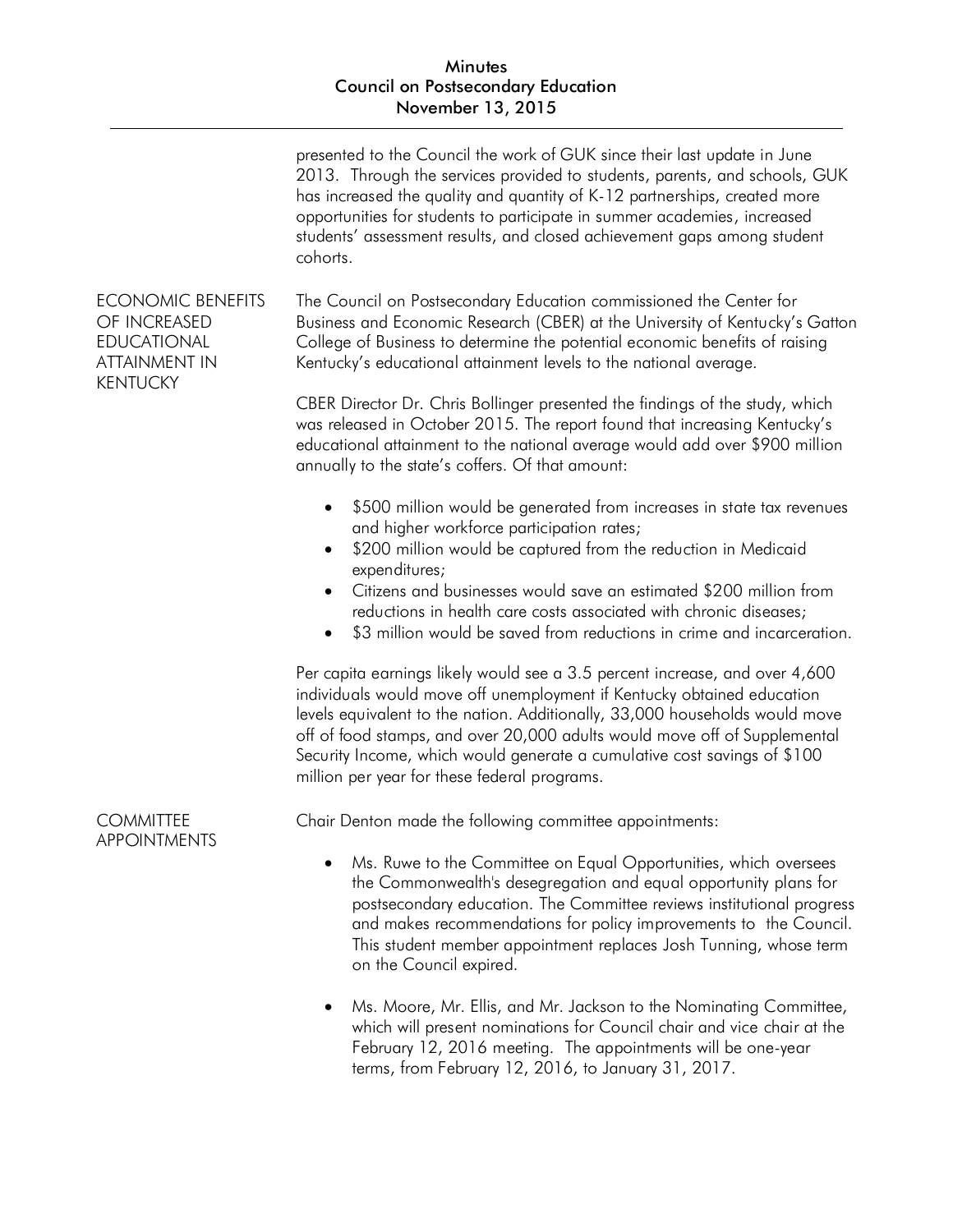|                                                                                                           | presented to the Council the work of GUK since their last update in June<br>2013. Through the services provided to students, parents, and schools, GUK<br>has increased the quality and quantity of K-12 partnerships, created more<br>opportunities for students to participate in summer academies, increased<br>students' assessment results, and closed achievement gaps among student<br>cohorts.                                        |
|-----------------------------------------------------------------------------------------------------------|-----------------------------------------------------------------------------------------------------------------------------------------------------------------------------------------------------------------------------------------------------------------------------------------------------------------------------------------------------------------------------------------------------------------------------------------------|
| <b>ECONOMIC BENEFITS</b><br>OF INCREASED<br><b>EDUCATIONAL</b><br><b>ATTAINMENT IN</b><br><b>KENTUCKY</b> | The Council on Postsecondary Education commissioned the Center for<br>Business and Economic Research (CBER) at the University of Kentucky's Gatton<br>College of Business to determine the potential economic benefits of raising<br>Kentucky's educational attainment levels to the national average.                                                                                                                                        |
|                                                                                                           | CBER Director Dr. Chris Bollinger presented the findings of the study, which<br>was released in October 2015. The report found that increasing Kentucky's<br>educational attainment to the national average would add over \$900 million<br>annually to the state's coffers. Of that amount:                                                                                                                                                  |
|                                                                                                           | \$500 million would be generated from increases in state tax revenues<br>$\bullet$<br>and higher workforce participation rates;<br>\$200 million would be captured from the reduction in Medicaid<br>expenditures;<br>Citizens and businesses would save an estimated \$200 million from<br>reductions in health care costs associated with chronic diseases;<br>\$3 million would be saved from reductions in crime and incarceration.       |
|                                                                                                           | Per capita earnings likely would see a 3.5 percent increase, and over 4,600<br>individuals would move off unemployment if Kentucky obtained education<br>levels equivalent to the nation. Additionally, 33,000 households would move<br>off of food stamps, and over 20,000 adults would move off of Supplemental<br>Security Income, which would generate a cumulative cost savings of \$100<br>million per year for these federal programs. |
| <b>COMMITTEE</b><br><b>APPOINTMENTS</b>                                                                   | Chair Denton made the following committee appointments:                                                                                                                                                                                                                                                                                                                                                                                       |
|                                                                                                           | Ms. Ruwe to the Committee on Equal Opportunities, which oversees<br>the Commonwealth's desegregation and equal opportunity plans for<br>postsecondary education. The Committee reviews institutional progress<br>and makes recommendations for policy improvements to the Council.<br>This student member appointment replaces Josh Tunning, whose term<br>on the Council expired.                                                            |
|                                                                                                           | Ms. Moore, Mr. Ellis, and Mr. Jackson to the Nominating Committee,<br>which will present nominations for Council chair and vice chair at the<br>February 12, 2016 meeting. The appointments will be one-year<br>terms, from February 12, 2016, to January 31, 2017.                                                                                                                                                                           |
|                                                                                                           |                                                                                                                                                                                                                                                                                                                                                                                                                                               |